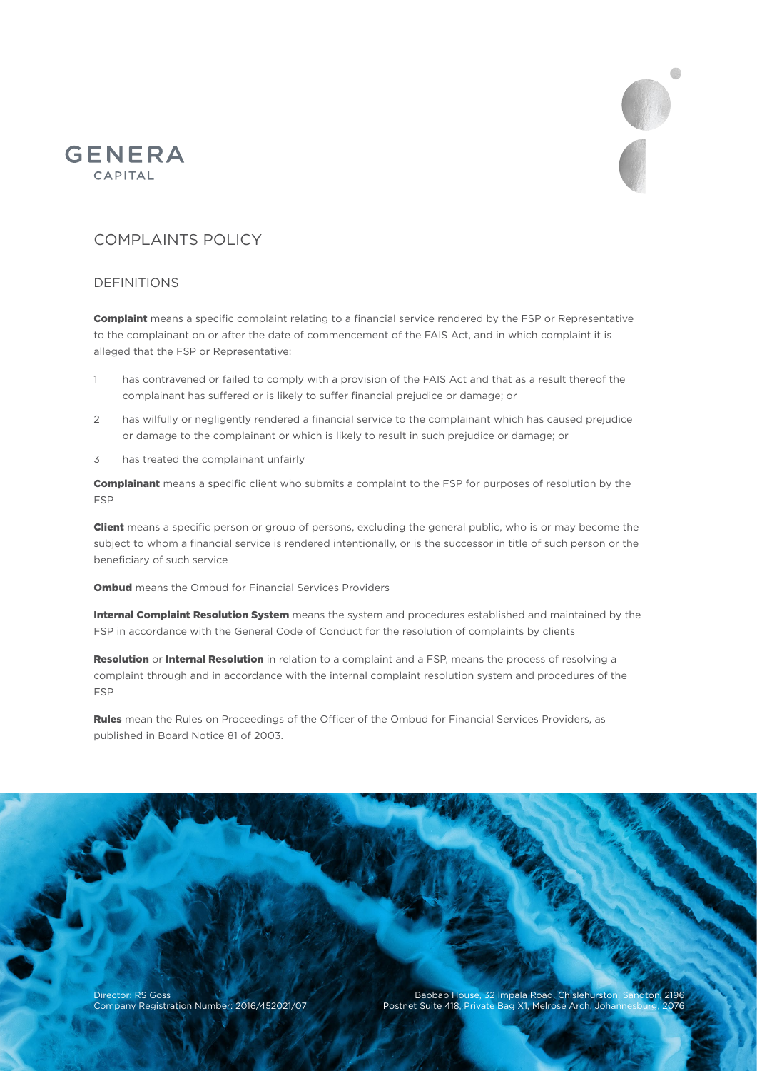



# COMPLAINTS POLICY

## DEFINITIONS

**Complaint** means a specific complaint relating to a financial service rendered by the FSP or Representative to the complainant on or after the date of commencement of the FAIS Act, and in which complaint it is alleged that the FSP or Representative:

- 1 has contravened or failed to comply with a provision of the FAIS Act and that as a result thereof the complainant has suffered or is likely to suffer financial prejudice or damage; or
- 2 has wilfully or negligently rendered a financial service to the complainant which has caused prejudice or damage to the complainant or which is likely to result in such prejudice or damage; or
- 3 has treated the complainant unfairly

**Complainant** means a specific client who submits a complaint to the FSP for purposes of resolution by the FSP

**Client** means a specific person or group of persons, excluding the general public, who is or may become the subject to whom a financial service is rendered intentionally, or is the successor in title of such person or the beneficiary of such service

**Ombud** means the Ombud for Financial Services Providers

Internal Complaint Resolution System means the system and procedures established and maintained by the FSP in accordance with the General Code of Conduct for the resolution of complaints by clients

Resolution or Internal Resolution in relation to a complaint and a FSP, means the process of resolving a complaint through and in accordance with the internal complaint resolution system and procedures of the FSP

Rules mean the Rules on Proceedings of the Officer of the Ombud for Financial Services Providers, as published in Board Notice 81 of 2003.

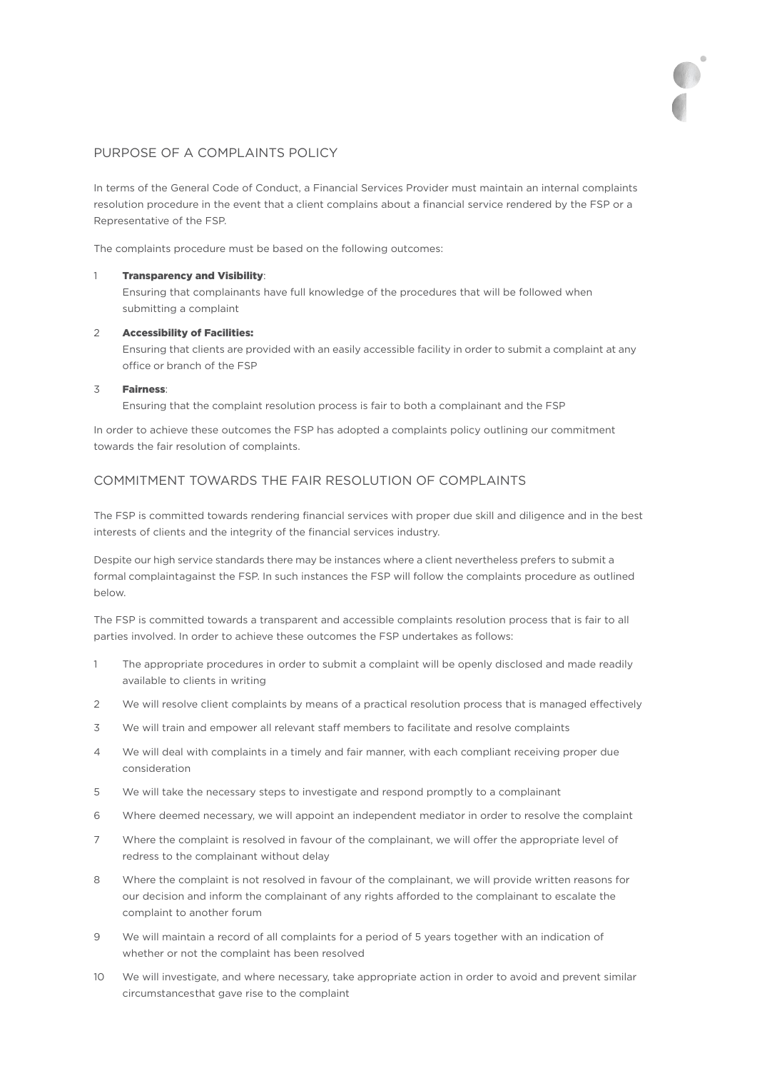# PURPOSE OF A COMPLAINTS POLICY

In terms of the General Code of Conduct, a Financial Services Provider must maintain an internal complaints resolution procedure in the event that a client complains about a financial service rendered by the FSP or a Representative of the FSP.

The complaints procedure must be based on the following outcomes:

#### 1 Transparency and Visibility:

Ensuring that complainants have full knowledge of the procedures that will be followed when submitting a complaint

#### 2 Accessibility of Facilities:

Ensuring that clients are provided with an easily accessible facility in order to submit a complaint at any office or branch of the FSP

#### 3 Fairness:

Ensuring that the complaint resolution process is fair to both a complainant and the FSP

In order to achieve these outcomes the FSP has adopted a complaints policy outlining our commitment towards the fair resolution of complaints.

## COMMITMENT TOWARDS THE FAIR RESOLUTION OF COMPLAINTS

The FSP is committed towards rendering financial services with proper due skill and diligence and in the best interests of clients and the integrity of the financial services industry.

Despite our high service standards there may be instances where a client nevertheless prefers to submit a formal complaint against the FSP. In such instances the FSP will follow the complaints procedure as outlined below.

The FSP is committed towards a transparent and accessible complaints resolution process that is fair to all parties involved. In order to achieve these outcomes the FSP undertakes as follows:

- 1 The appropriate procedures in order to submit a complaint will be openly disclosed and made readily available to clients in writing
- 2 We will resolve client complaints by means of a practical resolution process that is managed effectively
- 3 We will train and empower all relevant staff members to facilitate and resolve complaints
- 4 We will deal with complaints in a timely and fair manner, with each compliant receiving proper due consideration
- 5 We will take the necessary steps to investigate and respond promptly to a complainant
- 6 Where deemed necessary, we will appoint an independent mediator in order to resolve the complaint
- 7 Where the complaint is resolved in favour of the complainant, we will offer the appropriate level of redress to the complainant without delay
- 8 Where the complaint is not resolved in favour of the complainant, we will provide written reasons for our decision and inform the complainant of any rights afforded to the complainant to escalate the complaint to another forum
- 9 We will maintain a record of all complaints for a period of 5 years together with an indication of whether or not the complaint has been resolved
- circumstancesthat gave rise to the complaint 10 We will investigate, and where necessary, take appropriate action in order to avoid and prevent similar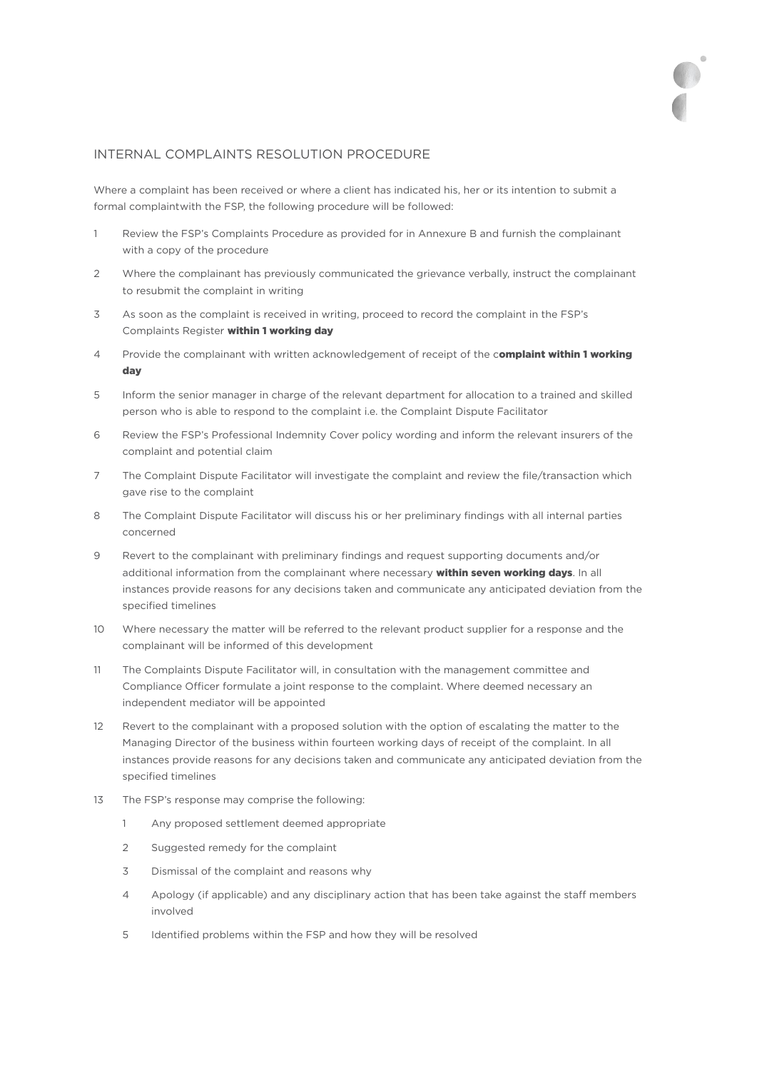## INTERNAL COMPLAINTS RESOLUTION PROCEDURE

Where a complaint has been received or where a client has indicated his, her or its intention to submit a formal complaint with the FSP, the following procedure will be followed:

- 1 Review the FSP's Complaints Procedure as provided for in Annexure B and furnish the complainant with a copy of the procedure
- 2 Where the complainant has previously communicated the grievance verbally, instruct the complainant to resubmit the complaint in writing
- 3 As soon as the complaint is received in writing, proceed to record the complaint in the FSP's Complaints Register within 1 working day
- 4 Provide the complainant with written acknowledgement of receipt of the complaint within 1 working day
- 5 Inform the senior manager in charge of the relevant department for allocation to a trained and skilled person who is able to respond to the complaint i.e. the Complaint Dispute Facilitator
- 6 Review the FSP's Professional Indemnity Cover policy wording and inform the relevant insurers of the complaint and potential claim
- 7 The Complaint Dispute Facilitator will investigate the complaint and review the file/transaction which gave rise to the complaint
- 8 The Complaint Dispute Facilitator will discuss his or her preliminary findings with all internal parties concerned
- 9 Revert to the complainant with preliminary findings and request supporting documents and/or additional information from the complainant where necessary within seven working days. In all instances provide reasons for any decisions taken and communicate any anticipated deviation from the specified timelines
- 10 Where necessary the matter will be referred to the relevant product supplier for a response and the complainant will be informed of this development
- 11 The Complaints Dispute Facilitator will, in consultation with the management committee and Compliance Officer formulate a joint response to the complaint. Where deemed necessary an independent mediator will be appointed
- 12 Revert to the complainant with a proposed solution with the option of escalating the matter to the Managing Director of the business within fourteen working days of receipt of the complaint. In all instances provide reasons for any decisions taken and communicate any anticipated deviation from the specified timelines
- 13 The FSP's response may comprise the following:
	- 1 Any proposed settlement deemed appropriate
	- 2 Suggested remedy for the complaint
	- 3 Dismissal of the complaint and reasons why
	- 4 Apology (if applicable) and any disciplinary action that has been take against the staff members involved
	- 5 Identified problems within the FSP and how they will be resolved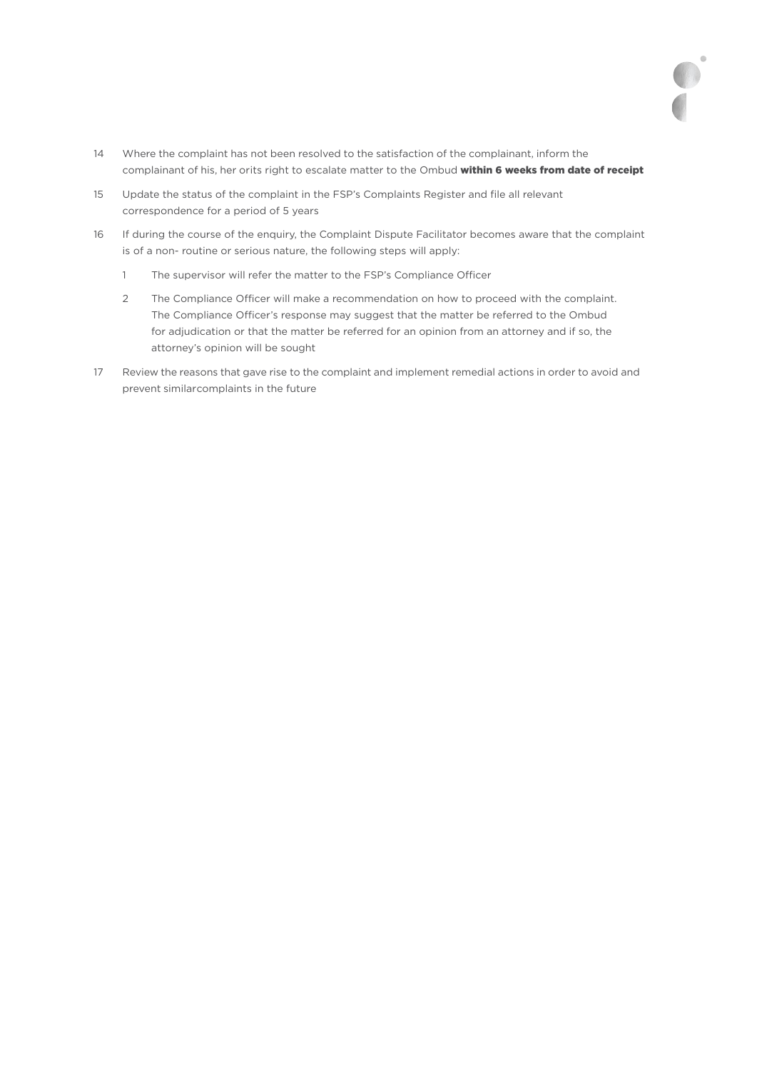14 Where the complaint has not been resolved to the satisfaction of the complainant, inform the complainant of his, her orits right to escalate matter to the Ombud within 6 weeks from date of receipt - 15 Update the status of the complaint in the FSP's Complaints Register and file all relevant correspondence for a period of 5 years
- 16 If during the course of the enquiry, the Complaint Dispute Facilitator becomes aware that the complaint is of a non- routine or serious nature, the following steps will apply:
	- 1 The supervisor will refer the matter to the FSP's Compliance Officer
	- 2 The Compliance Officer will make a recommendation on how to proceed with the complaint. The Compliance Officer's response may suggest that the matter be referred to the Ombud for adjudication or that the matter be referred for an opinion from an attorney and if so, the attorney's opinion will be sought
- 17 Review the reasons that gave rise to the complaint and implement remedial actions in order to avoid and prevent similar complaints in the future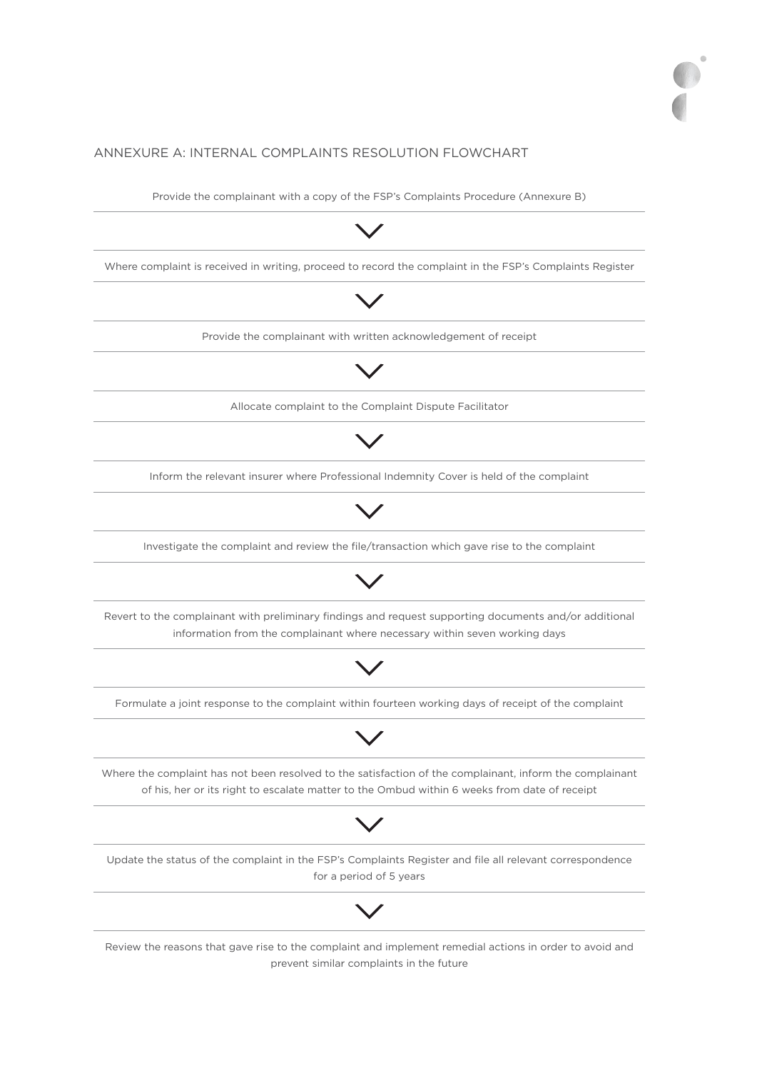# ANNEXURE A: INTERNAL COMPLAINTS RESOLUTION FLOWCHART

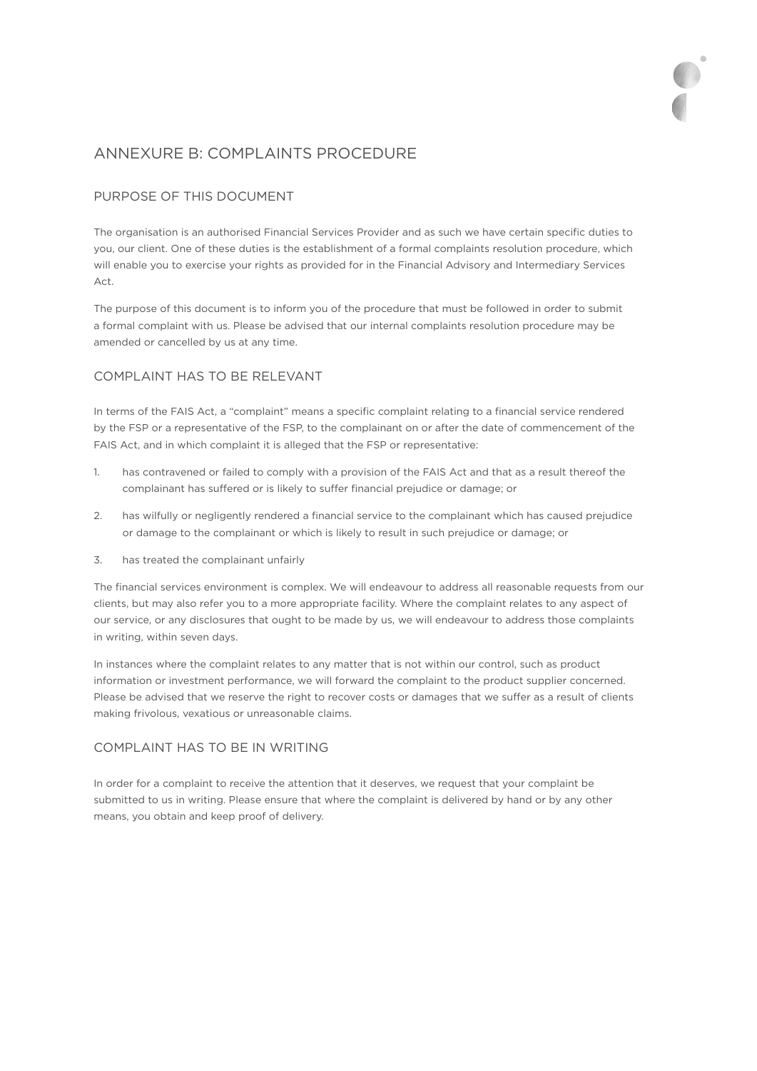# ANNEXURE B: COMPLAINTS PROCEDURE

# PURPOSE OF THIS DOCUMENT

The organisation is an authorised Financial Services Provider and as such we have certain specific duties to you, our client. One of these duties is the establishment of a formal complaints resolution procedure, which will enable you to exercise your rights as provided for in the Financial Advisory and Intermediary Services Act.

The purpose of this document is to inform you of the procedure that must be followed in order to submit a formal complaint with us. Please be advised that our internal complaints resolution procedure may be amended or cancelled by us at any time.

# COMPLAINT HAS TO BE RELEVANT

In terms of the FAIS Act, a "complaint" means a specific complaint relating to a financial service rendered by the FSP or a representative of the FSP, to the complainant on or after the date of commencement of the FAIS Act, and in which complaint it is alleged that the FSP or representative:

- 1. has contravened or failed to comply with a provision of the FAIS Act and that as a result thereof the complainant has suffered or is likely to suffer financial prejudice or damage; or
- 2. has wilfully or negligently rendered a financial service to the complainant which has caused prejudice or damage to the complainant or which is likely to result in such prejudice or damage; or
- 3. has treated the complainant unfairly

The financial services environment is complex. We will endeavour to address all reasonable requests from our clients, but may also refer you to a more appropriate facility. Where the complaint relates to any aspect of our service, or any disclosures that ought to be made by us, we will endeavour to address those complaints in writing, within seven days.

In instances where the complaint relates to any matter that is not within our control, such as product information or investment performance, we will forward the complaint to the product supplier concerned. Please be advised that we reserve the right to recover costs or damages that we suffer as a result of clients making frivolous, vexatious or unreasonable claims.

## COMPLAINT HAS TO BE IN WRITING

In order for a complaint to receive the attention that it deserves, we request that your complaint be submitted to us in writing. Please ensure that where the complaint is delivered by hand or by any other means, you obtain and keep proof of delivery.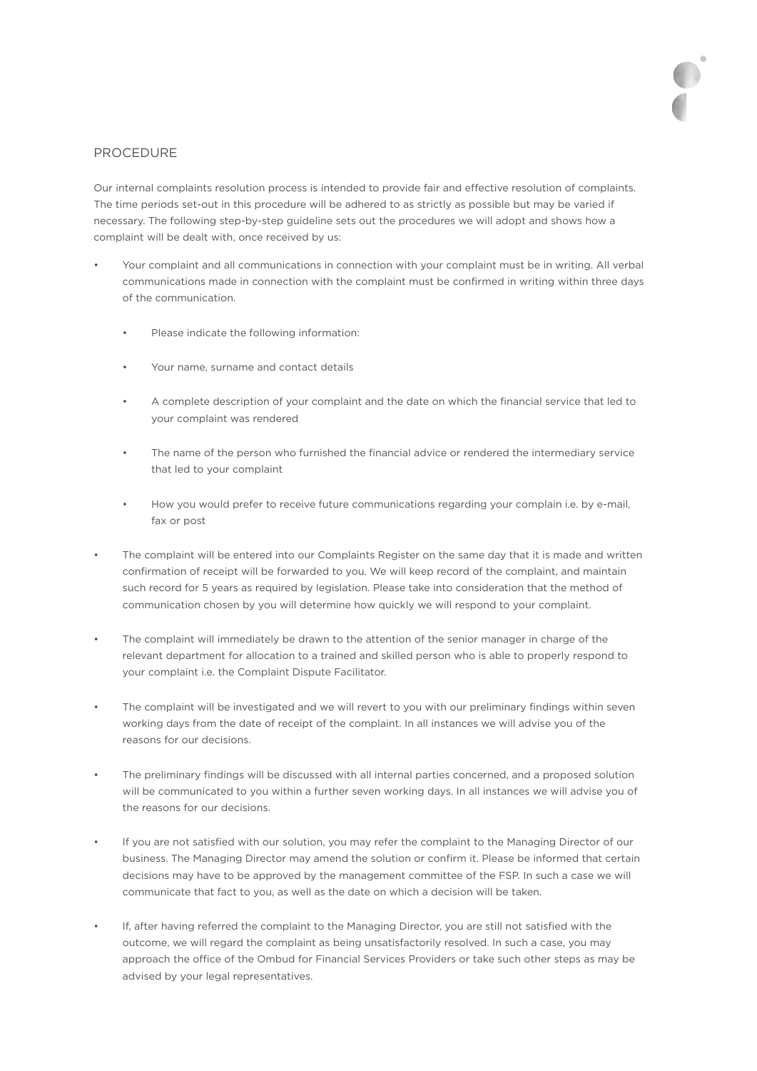# PROCEDURE

Our internal complaints resolution process is intended to provide fair and effective resolution of complaints. The time periods set-out in this procedure will be adhered to as strictly as possible but may be varied if necessary. The following step-by-step guideline sets out the procedures we will adopt and shows how a complaint will be dealt with, once received by us:

- Your complaint and all communications in connection with your complaint must be in writing. All verbal communications made in connection with the complaint must be confirmed in writing within three days of the communication.
	- Please indicate the following information:
	- Your name, surname and contact details
	- A complete description of your complaint and the date on which the financial service that led to your complaint was rendered
	- The name of the person who furnished the financial advice or rendered the intermediary service that led to your complaint
	- How you would prefer to receive future communications regarding your complain i.e. by e-mail, fax or post
- The complaint will be entered into our Complaints Register on the same day that it is made and written confirmation of receipt will be forwarded to you. We will keep record of the complaint, and maintain such record for 5 years as required by legislation. Please take into consideration that the method of communication chosen by you will determine how quickly we will respond to your complaint.
- The complaint will immediately be drawn to the attention of the senior manager in charge of the relevant department for allocation to a trained and skilled person who is able to properly respond to your complaint i.e. the Complaint Dispute Facilitator.
- The complaint will be investigated and we will revert to you with our preliminary findings within seven working days from the date of receipt of the complaint. In all instances we will advise you of the reasons for our decisions.
- The preliminary findings will be discussed with all internal parties concerned, and a proposed solution will be communicated to you within a further seven working days. In all instances we will advise you of the reasons for our decisions.
- If you are not satisfied with our solution, you may refer the complaint to the Managing Director of our business. The Managing Director may amend the solution or confirm it. Please be informed that certain decisions may have to be approved by the management committee of the FSP. In such a case we will communicate that fact to you, as well as the date on which a decision will be taken.
- If, after having referred the complaint to the Managing Director, you are still not satisfied with the outcome, we will regard the complaint as being unsatisfactorily resolved. In such a case, you may approach the office of the Ombud for Financial Services Providers or take such other steps as may be advised by your legal representatives.